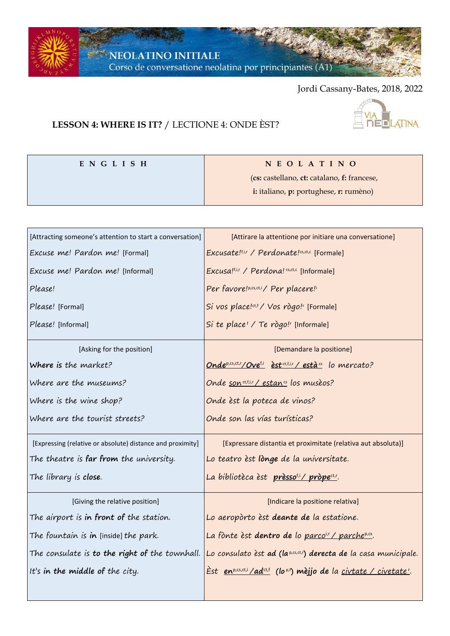$\sim$  NEOLATINO INITIALE Corso de conversatione neolatina por principiantes (A1)

**E N G L I S H N E O L A T I N O**

Jordi Cassany-Bates, 2018, 2022

## **LESSON 4: WHERE IS IT?** / LECTIONE 4: ONDE ÈST?



|                                                            | (cs: castellano, ct: catalano, f: francese,                                                                     |  |  |
|------------------------------------------------------------|-----------------------------------------------------------------------------------------------------------------|--|--|
|                                                            | i: italiano, p: portughese, r: rumèno)                                                                          |  |  |
|                                                            |                                                                                                                 |  |  |
| [Attracting someone's attention to start a conversation]   | [Attirare la attentione por initiare una conversatione]                                                         |  |  |
| Excuse me! Pardon me! [Formal]                             | Excusate!f.i.r / Perdonate!cs,ct,c [Formale]                                                                    |  |  |
| Excuse me! Pardon me! [Informal]                           | Excusa!f,i,r / Perdona! cs,ct,c [Informale]                                                                     |  |  |
| Please!                                                    | Per favore!p,cs,ct,i/ Per placere!i                                                                             |  |  |
| Please! [Formal]                                           | Si vos place!ct,f / Vos rògo! <sup>r</sup> [Formale]                                                            |  |  |
| Please! [Informal]                                         | Si te place <sup>t</sup> / Te rògo! <sup>r</sup> [Informale]                                                    |  |  |
| [Asking for the position]                                  | [Demandare la positione]                                                                                        |  |  |
| Where is the market?                                       | <u> Ondep,cs,ct,r/Ovef,i</u> est <sup>ct,f,i,r</sup> /està <sup>cs</sup> lo mercato?                            |  |  |
| Where are the museums?                                     | Onde son ct,t,i,r / estancs los musèos?                                                                         |  |  |
| Where is the wine shop?                                    | Onde èst la poteca de vinos?                                                                                    |  |  |
| Where are the tourist streets?                             | Onde son las vías turísticas?                                                                                   |  |  |
| [Expressing (relative or absolute) distance and proximity] | [Expressare distantia et proximitate (relativa aut absoluta)]                                                   |  |  |
| The theatre is <b>far from</b> the university.             | Lo teatro èst lònge de la universitate.                                                                         |  |  |
| The library is close.                                      | La bibliotèca èst prèsso <sup>t,i</sup> /pròpe <sup>ct,r</sup> .                                                |  |  |
| [Giving the relative position]                             | [Indicare la positione relativa]                                                                                |  |  |
| The airport is in front of the station.                    | Lo aeropòrto èst deante de la estatione.                                                                        |  |  |
| The fountain is in [inside] the park.                      | La fònte èst dentro de lo parco <sup>ir</sup> / parche <sup>p,cs</sup> .                                        |  |  |
| The consulate is <b>to the right of</b> the townhall.      | Lo consulato èst <b>ad (la</b> p.cs.ct.r <b>) derecta de</b> la casa municipale.                                |  |  |
| It's in the middle of the city.                            | <u> Est en<sup>p,cs,ct,i</sup>/ad<sup>ct,f</sup> (lop,i) mèjjo de la <u>civtate / civetate<sup>r</sup></u>.</u> |  |  |
|                                                            |                                                                                                                 |  |  |